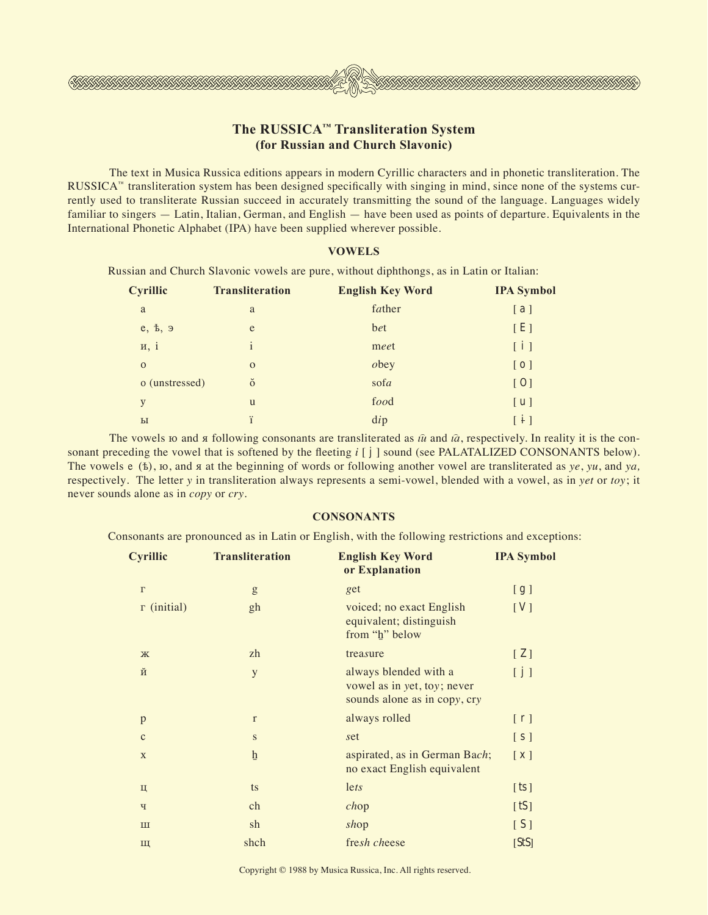# **The RUSSICA™ Transliteration System (for Russian and Church Slavonic)**

UN SAATATATATATATATATA

The text in Musica Russica editions appears in modern Cyrillic characters and in phonetic transliteration. The RUSSICA<sup>™</sup> transliteration system has been designed specifically with singing in mind, since none of the systems currently used to transliterate Russian succeed in accurately transmitting the sound of the language. Languages widely familiar to singers — Latin, Italian, German, and English — have been used as points of departure. Equivalents in the International Phonetic Alphabet (IPA) have been supplied wherever possible.

### **VOWELS**

 Russian and Church Slavonic vowels are pure, without diphthongs, as in Latin or Italian:

| Cyrillic       | <b>Transliteration</b> | <b>English Key Word</b> | <b>IPA Symbol</b>                 |
|----------------|------------------------|-------------------------|-----------------------------------|
| a              | a                      | father                  | [a]                               |
| e, b, 9        | e                      | bet                     | [E]                               |
| H, i           | $\mathbf{i}$           | meet                    | [i]                               |
| $\mathbf{O}$   | $\mathbf{o}$           | obey                    | $\begin{bmatrix} 0 \end{bmatrix}$ |
| o (unstressed) | $\check{\mathrm{o}}$   | sofa                    | [0]                               |
| y              | u                      | food                    | [u]                               |
| $_{\rm{bl}}$   | ï                      | $\text{d}ip$            | $\lceil i \rceil$                 |

The vowels io and  $\pi$  following consonants are transliterated as  $\hat{u}$  and  $\hat{u}$ , respectively. In reality it is the consonant preceding the vowel that is softened by the fleeting *i* [ **j** ] sound (see PALATALIZED CONSONANTS below). The vowels  $e(t)$ ,  $\infty$ , and  $\pi$  at the beginning of words or following another vowel are transliterated as  $ye$ ,  $yu$ , and  $ya$ , respectively*.* The letter *y* in transliteration always represents a semi-vowel, blended with a vowel, as in *yet* or *toy*; it never sounds alone as in *copy* or *cry*.

### **CONSONANTS**

 Consonants are pronounced as in Latin or English, with the following restrictions and exceptions:

| <b>Cyrillic</b>    | <b>Transliteration</b>                                                                                                                                                                                                                                                                                                                                                                                                         | <b>English Key Word</b><br>or Explanation                                            | <b>IPA Symbol</b>          |
|--------------------|--------------------------------------------------------------------------------------------------------------------------------------------------------------------------------------------------------------------------------------------------------------------------------------------------------------------------------------------------------------------------------------------------------------------------------|--------------------------------------------------------------------------------------|----------------------------|
| $\Gamma$           | $\mathbf{g}% _{T}=\mathbf{g}_{T}=\mathbf{g}_{T}=\mathbf{g}_{T}=\mathbf{g}_{T}=\mathbf{g}_{T}=\mathbf{g}_{T}=\mathbf{g}_{T}=\mathbf{g}_{T}=\mathbf{g}_{T}=\mathbf{g}_{T}=\mathbf{g}_{T}=\mathbf{g}_{T}=\mathbf{g}_{T}=\mathbf{g}_{T}=\mathbf{g}_{T}=\mathbf{g}_{T}=\mathbf{g}_{T}=\mathbf{g}_{T}=\mathbf{g}_{T}=\mathbf{g}_{T}=\mathbf{g}_{T}=\mathbf{g}_{T}=\mathbf{g}_{T}=\mathbf{g}_{T}=\mathbf{g}_{T}=\mathbf{g}_{T}=\math$ | get                                                                                  | [g]                        |
| $\Gamma$ (initial) | gh                                                                                                                                                                                                                                                                                                                                                                                                                             | voiced; no exact English<br>equivalent; distinguish<br>from "h" below                | [V]                        |
| Ж                  | zh                                                                                                                                                                                                                                                                                                                                                                                                                             | treasure                                                                             | $\left[\right.$ $2\right.$ |
| й                  | y                                                                                                                                                                                                                                                                                                                                                                                                                              | always blended with a<br>vowel as in yet, toy; never<br>sounds alone as in copy, cry | [j]                        |
| $\mathbf{p}$       | $\Gamma$                                                                                                                                                                                                                                                                                                                                                                                                                       | always rolled                                                                        | [r]                        |
| $\mathbf{C}$       | ${\bf S}$                                                                                                                                                                                                                                                                                                                                                                                                                      | set                                                                                  | [s]                        |
| X                  | $\overline{\mathbf{h}}$                                                                                                                                                                                                                                                                                                                                                                                                        | aspirated, as in German Bach;<br>no exact English equivalent                         | $\lceil x \rceil$          |
| Ц                  | ts                                                                                                                                                                                                                                                                                                                                                                                                                             | lets                                                                                 | [ts]                       |
| Ч                  | ch                                                                                                                                                                                                                                                                                                                                                                                                                             | chop                                                                                 | [tS]                       |
| <b>III</b>         | sh                                                                                                                                                                                                                                                                                                                                                                                                                             | shop                                                                                 | [S]                        |
| Щ                  | shch                                                                                                                                                                                                                                                                                                                                                                                                                           | fresh cheese                                                                         | [StS]                      |

Copyright © 1988 by Musica Russica, Inc. All rights reserved.